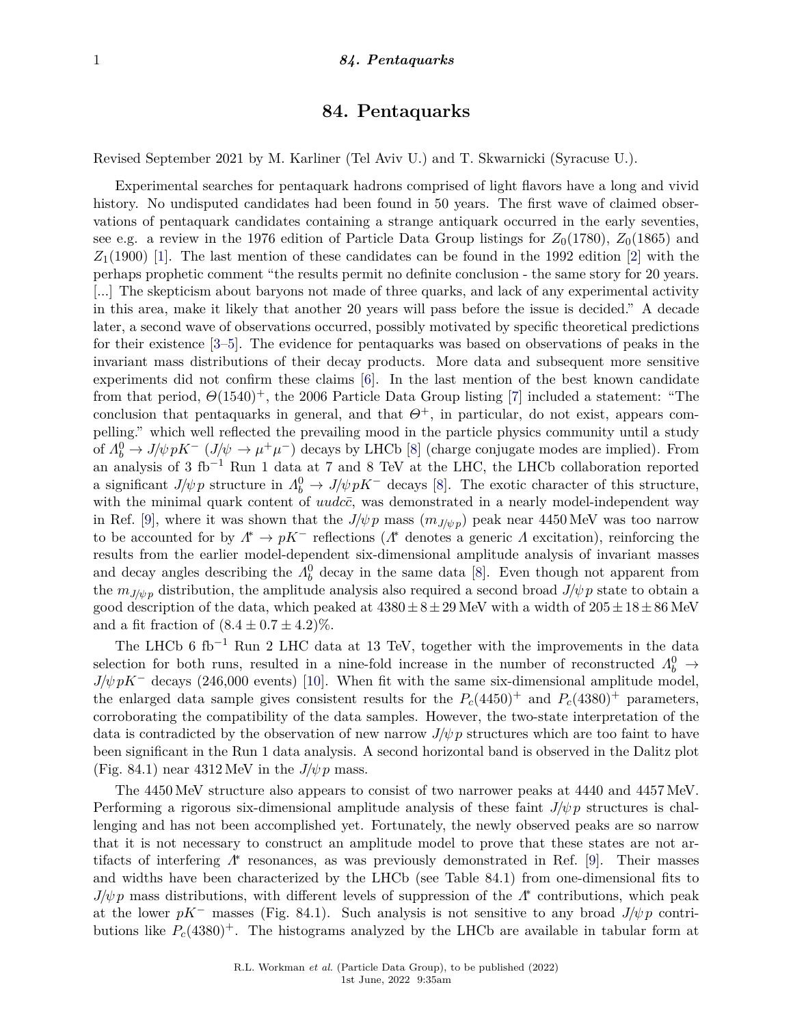# **84. Pentaquarks**

Revised September 2021 by M. Karliner (Tel Aviv U.) and T. Skwarnicki (Syracuse U.).

Experimental searches for pentaquark hadrons comprised of light flavors have a long and vivid history. No undisputed candidates had been found in 50 years. The first wave of claimed observations of pentaquark candidates containing a strange antiquark occurred in the early seventies, see e.g. a review in the 1976 edition of Particle Data Group listings for  $Z_0(1780)$ ,  $Z_0(1865)$  and  $Z_1(1900)$  [\[1\]](#page-6-0). The last mention of these candidates can be found in the 1992 edition [\[2\]](#page-6-1) with the perhaps prophetic comment "the results permit no definite conclusion - the same story for 20 years. [...] The skepticism about baryons not made of three quarks, and lack of any experimental activity in this area, make it likely that another 20 years will pass before the issue is decided." A decade later, a second wave of observations occurred, possibly motivated by specific theoretical predictions for their existence [\[3](#page-6-2)[–5\]](#page-6-3). The evidence for pentaquarks was based on observations of peaks in the invariant mass distributions of their decay products. More data and subsequent more sensitive experiments did not confirm these claims [\[6\]](#page-6-4). In the last mention of the best known candidate from that period, *Θ*(1540)+, the 2006 Particle Data Group listing [\[7\]](#page-6-5) included a statement: "The conclusion that pentaquarks in general, and that  $Θ^+$ , in particular, do not exist, appears compelling." which well reflected the prevailing mood in the particle physics community until a study of  $\Lambda_b^0 \to J/\psi pK^-$  ( $J/\psi \to \mu^+\mu^-$ ) decays by LHCb [\[8\]](#page-6-6) (charge conjugate modes are implied). From an analysis of 3 fb−<sup>1</sup> Run 1 data at 7 and 8 TeV at the LHC, the LHCb collaboration reported a significant  $J/\psi p$  structure in  $\Lambda_b^0 \to J/\psi pK^-$  decays [\[8\]](#page-6-6). The exotic character of this structure, with the minimal quark content of  $uudc\bar{c}$ , was demonstrated in a nearly model-independent way in Ref. [\[9\]](#page-6-7), where it was shown that the  $J/\psi p$  mass  $(m_{J/\psi p})$  peak near 4450 MeV was too narrow to be accounted for by  $\Lambda^* \to pK^-$  reflections ( $\Lambda^*$  denotes a generic  $\Lambda$  excitation), reinforcing the results from the earlier model-dependent six-dimensional amplitude analysis of invariant masses and decay angles describing the  $\Lambda_b^0$  decay in the same data [\[8\]](#page-6-6). Even though not apparent from the  $m_{J/\psi p}$  distribution, the amplitude analysis also required a second broad  $J/\psi p$  state to obtain a good description of the data, which peaked at  $4380 \pm 8 \pm 29$  MeV with a width of  $205 \pm 18 \pm 86$  MeV and a fit fraction of  $(8.4 \pm 0.7 \pm 4.2)\%$ .

The LHCb 6 fb<sup>-1</sup> Run 2 LHC data at 13 TeV, together with the improvements in the data selection for both runs, resulted in a nine-fold increase in the number of reconstructed  $\Lambda_b^0 \rightarrow$  $J/\psi pK^-$  decays (246,000 events) [\[10\]](#page-6-8). When fit with the same six-dimensional amplitude model, the enlarged data sample gives consistent results for the  $P_c(4450)^+$  and  $P_c(4380)^+$  parameters. corroborating the compatibility of the data samples. However, the two-state interpretation of the data is contradicted by the observation of new narrow  $J/\psi p$  structures which are too faint to have been significant in the Run 1 data analysis. A second horizontal band is observed in the Dalitz plot (Fig. 84.1) near  $4312 \text{ MeV}$  in the  $J/\psi p$  mass.

The 4450 MeV structure also appears to consist of two narrower peaks at 4440 and 4457 MeV. Performing a rigorous six-dimensional amplitude analysis of these faint  $J/\psi p$  structures is challenging and has not been accomplished yet. Fortunately, the newly observed peaks are so narrow that it is not necessary to construct an amplitude model to prove that these states are not artifacts of interfering  $Λ^*$  resonances, as was previously demonstrated in Ref. [\[9\]](#page-6-7). Their masses and widths have been characterized by the LHCb (see Table 84.1) from one-dimensional fits to *J/ψ p* mass distributions, with different levels of suppression of the *Λ*<sup>\*</sup> contributions, which peak at the lower  $pK^-$  masses (Fig. 84.1). Such analysis is not sensitive to any broad  $J/\psi p$  contributions like  $P_c(4380)^+$ . The histograms analyzed by the LHCb are available in tabular form at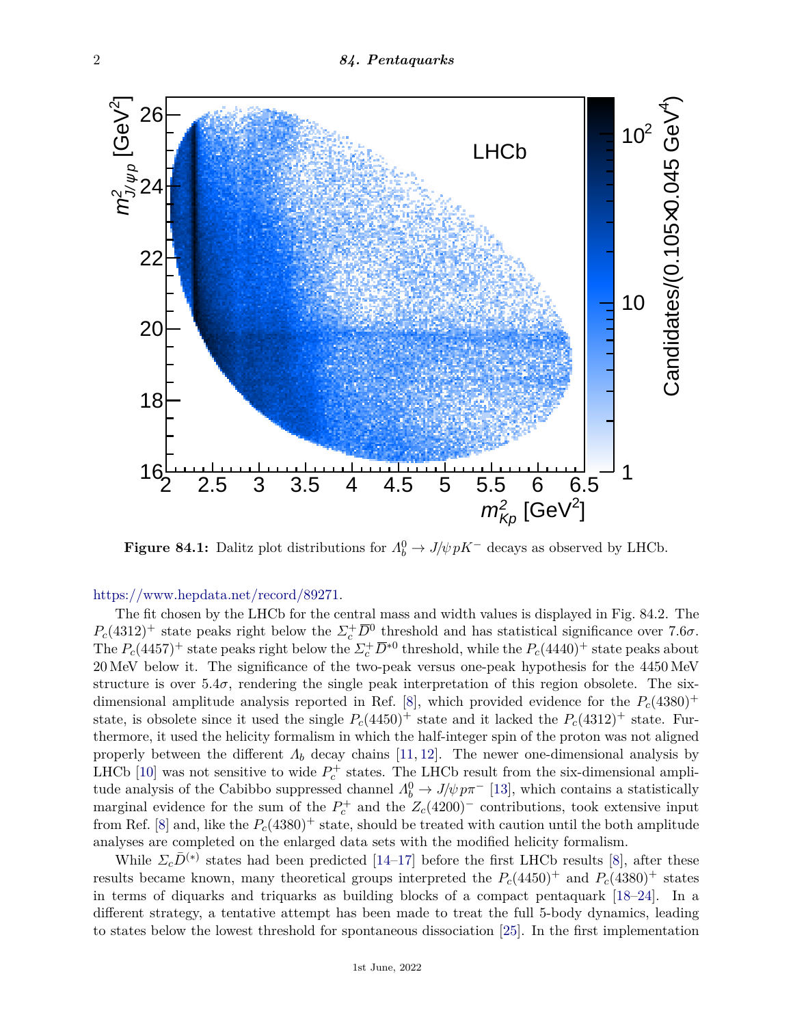

**Figure 84.1:** Dalitz plot distributions for  $\Lambda_b^0 \to J/\psi pK^-$  decays as observed by LHCb.

## [https://www.hepdata.net/record/89271.](https://www.hepdata.net/record/89271)

The fit chosen by the LHCb for the central mass and width values is displayed in Fig. 84.2. The  $P_c(4312)^+$  state peaks right below the  $\Sigma_c^+ \overline{D}^0$  threshold and has statistical significance over 7*.6σ*. The  $P_c(4457)^+$  state peaks right below the  $\Sigma_c^+ \overline{D}^{*0}$  threshold, while the  $P_c(4440)^+$  state peaks about 20 MeV below it. The significance of the two-peak versus one-peak hypothesis for the 4450 MeV structure is over  $5.4\sigma$ , rendering the single peak interpretation of this region obsolete. The six-dimensional amplitude analysis reported in Ref. [\[8\]](#page-6-6), which provided evidence for the  $P_c(4380)^+$ state, is obsolete since it used the single  $P_c(4450)^+$  state and it lacked the  $P_c(4312)^+$  state. Furthermore, it used the helicity formalism in which the half-integer spin of the proton was not aligned properly between the different  $\Lambda_b$  decay chains [\[11,](#page-6-9) [12\]](#page-6-10). The newer one-dimensional analysis by LHCb [\[10\]](#page-6-8) was not sensitive to wide  $P_c^+$  states. The LHCb result from the six-dimensional amplitude analysis of the Cabibbo suppressed channel  $\Lambda_b^0 \to J/\psi p \pi^-$  [\[13\]](#page-6-11), which contains a statistically marginal evidence for the sum of the  $P_c^+$  and the  $Z_c(4200)^-$  contributions, took extensive input from Ref. [\[8\]](#page-6-6) and, like the  $P_c(4380)^+$  state, should be treated with caution until the both amplitude analyses are completed on the enlarged data sets with the modified helicity formalism.

While  $\Sigma_c \bar{D}^{(*)}$  states had been predicted [\[14–](#page-6-12)[17\]](#page-6-13) before the first LHCb results [\[8\]](#page-6-6), after these results became known, many theoretical groups interpreted the  $P_c(4450)^+$  and  $P_c(4380)^+$  states in terms of diquarks and triquarks as building blocks of a compact pentaquark [\[18–](#page-6-14)[24\]](#page-7-0). In a different strategy, a tentative attempt has been made to treat the full 5-body dynamics, leading to states below the lowest threshold for spontaneous dissociation [\[25\]](#page-7-1). In the first implementation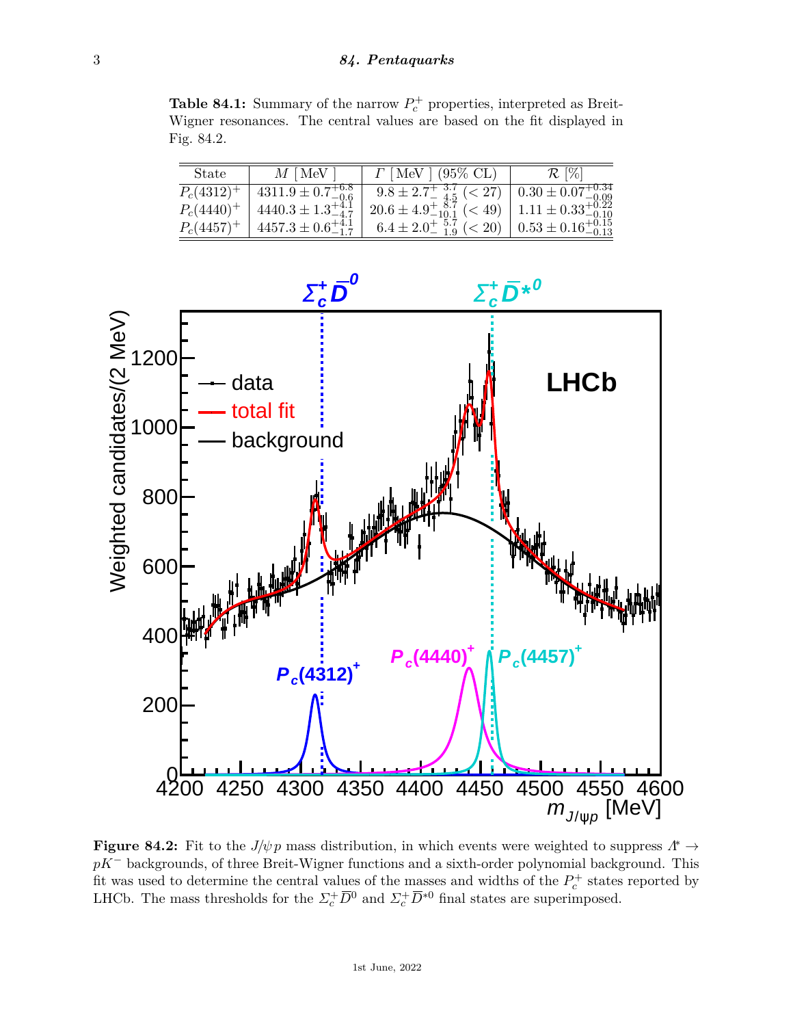**Table 84.1:** Summary of the narrow  $P_c^+$  properties, interpreted as Breit-Wigner resonances. The central values are based on the fit displayed in Fig. 84.2.

| <b>State</b>  | $M$ [MeV]                      | $\Gamma$ [MeV ] (95\% CL)                                                 | $\mathcal{R}$ [%] |
|---------------|--------------------------------|---------------------------------------------------------------------------|-------------------|
| $P_c(4312)^+$ | $4311.9 \pm 0.7^{+6.8}_{-0.6}$ | $9.8 \pm 2.7^{+3.7}_{-4.5}$ (< 27) $0.30 \pm 0.07^{+0.34}_{-0.09}$        |                   |
| $P_c(4440)^+$ | $4440.3 \pm 1.3_{-4.7}^{+4.1}$ | $20.6 \pm 4.9^{+8.7}_{-10.1} \le 49$   $1.11 \pm 0.33^{+0.22}_{-0.10}$    |                   |
| $P_c(4457)^+$ | $4457.3 \pm 0.6_{-1.7}^{+4.1}$ | $6.4 \pm 2.0^{+5.7}_{-1.9} \leq 20$ $\big  0.53 \pm 0.16^{+0.15}_{-0.13}$ |                   |



**Figure 84.2:** Fit to the  $J/\psi p$  mass distribution, in which events were weighted to suppress  $\Lambda^* \to$ *pK*<sup>−</sup> backgrounds, of three Breit-Wigner functions and a sixth-order polynomial background. This fit was used to determine the central values of the masses and widths of the  $P_c^+$  states reported by LHCb. The mass thresholds for the  $\Sigma_c^+ \overline{D}^0$  and  $\Sigma_c^+ \overline{D}^{*0}$  final states are superimposed.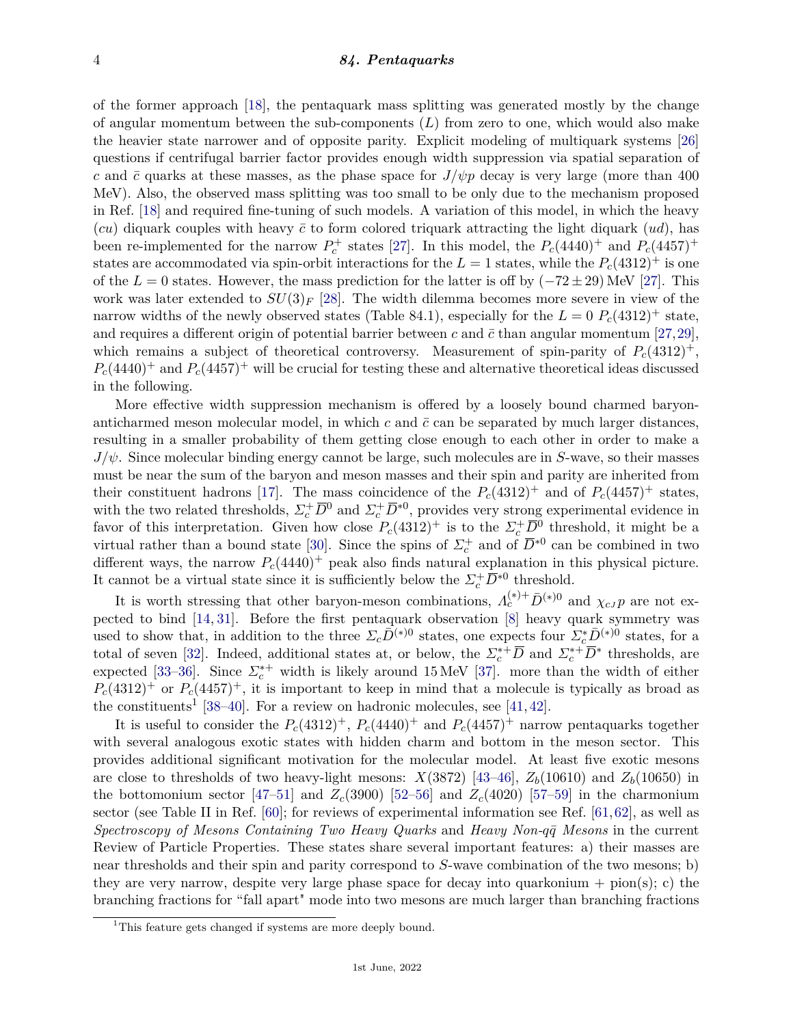#### 4 *84. Pentaquarks*

of the former approach [\[18\]](#page-6-14), the pentaquark mass splitting was generated mostly by the change of angular momentum between the sub-components (*L*) from zero to one, which would also make the heavier state narrower and of opposite parity. Explicit modeling of multiquark systems [\[26\]](#page-7-2) questions if centrifugal barrier factor provides enough width suppression via spatial separation of *c* and  $\bar{c}$  quarks at these masses, as the phase space for  $J/\psi p$  decay is very large (more than 400 MeV). Also, the observed mass splitting was too small to be only due to the mechanism proposed in Ref. [\[18\]](#page-6-14) and required fine-tuning of such models. A variation of this model, in which the heavy (*cu*) diquark couples with heavy  $\bar{c}$  to form colored triquark attracting the light diquark (*ud*), has been re-implemented for the narrow  $P_c^+$  states [\[27\]](#page-7-3). In this model, the  $P_c(4440)^+$  and  $P_c(4457)^+$ states are accommodated via spin-orbit interactions for the  $L = 1$  states, while the  $P_c(4312)^+$  is one of the  $L = 0$  states. However, the mass prediction for the latter is off by  $(-72 \pm 29)$  MeV [\[27\]](#page-7-3). This work was later extended to  $SU(3)_F$  [\[28\]](#page-7-4). The width dilemma becomes more severe in view of the narrow widths of the newly observed states (Table 84.1), especially for the  $L = 0$   $P_c(4312)^+$  state, and requires a different origin of potential barrier between  $c$  and  $\bar{c}$  than angular momentum [\[27,](#page-7-3)[29\]](#page-7-5), which remains a subject of theoretical controversy. Measurement of spin-parity of  $P_c(4312)^+$ ,  $P_c(4440)^+$  and  $P_c(4457)^+$  will be crucial for testing these and alternative theoretical ideas discussed in the following.

More effective width suppression mechanism is offered by a loosely bound charmed baryonanticharmed meson molecular model, in which  $c$  and  $\bar{c}$  can be separated by much larger distances, resulting in a smaller probability of them getting close enough to each other in order to make a *J/ψ*. Since molecular binding energy cannot be large, such molecules are in *S*-wave, so their masses must be near the sum of the baryon and meson masses and their spin and parity are inherited from their constituent hadrons [\[17\]](#page-6-13). The mass coincidence of the  $P_c(4312)^+$  and of  $P_c(4457)^+$  states, with the two related thresholds,  $\Sigma_c^+ \overline{D}^0$  and  $\Sigma_c^+ \overline{D}^{*0}$ , provides very strong experimental evidence in favor of this interpretation. Given how close  $P_c(4312)^+$  is to the  $\Sigma_c^+ \overline{D}{}^0$  threshold, it might be a virtual rather than a bound state [\[30\]](#page-7-6). Since the spins of  $\Sigma_c^+$  and of  $\overline{D}^{*0}$  can be combined in two different ways, the narrow  $P_c(4440)^+$  peak also finds natural explanation in this physical picture. It cannot be a virtual state since it is sufficiently below the  $\Sigma_c^+ \overline{D}^{*0}$  threshold.

It is worth stressing that other baryon-meson combinations,  $\Lambda_c^{(*)+} \bar{D}^{(*)0}$  and  $\chi_{cJ} p$  are not expected to bind [\[14,](#page-6-12) [31\]](#page-7-7). Before the first pentaquark observation [\[8\]](#page-6-6) heavy quark symmetry was used to show that, in addition to the three  $\Sigma_c \overline{D}{}^{(*)0}$  states, one expects four  $\Sigma_c^* \overline{D}{}^{(*)0}$  states, for a total of seven [\[32\]](#page-7-8). Indeed, additional states at, or below, the  $\Sigma_c^{*+} \overline{D}$  and  $\Sigma_c^{*+} \overline{D}^*$  thresholds, are expected [\[33–](#page-7-9)[36\]](#page-7-10). Since  $\Sigma_c^{*+}$  width is likely around 15 MeV [\[37\]](#page-7-11). more than the width of either  $P_c(4312)^+$  or  $P_c(4457)^+$ , it is important to keep in mind that a molecule is typically as broad as the constituents<sup>[1](#page-3-0)</sup> [\[38](#page-7-12)[–40\]](#page-7-13). For a review on hadronic molecules, see [\[41,](#page-7-14) [42\]](#page-7-15).

It is useful to consider the  $P_c(4312)^+$ ,  $P_c(4440)^+$  and  $P_c(4457)^+$  narrow pentaquarks together with several analogous exotic states with hidden charm and bottom in the meson sector. This provides additional significant motivation for the molecular model. At least five exotic mesons are close to thresholds of two heavy-light mesons:  $X(3872)$  [\[43–](#page-7-16)[46\]](#page-7-17),  $Z_b(10610)$  and  $Z_b(10650)$  in the bottomonium sector [\[47–](#page-7-18)[51\]](#page-7-19) and  $Z_c(3900)$  [\[52](#page-7-20)[–56\]](#page-7-21) and  $Z_c(4020)$  [\[57–](#page-7-22)[59\]](#page-8-0) in the charmonium sector (see Table II in Ref. [\[60\]](#page-8-1); for reviews of experimental information see Ref. [\[61,](#page-8-2)[62\]](#page-8-3), as well as *Spectroscopy of Mesons Containing Two Heavy Quarks* and *Heavy Non-qq*¯ *Mesons* in the current Review of Particle Properties. These states share several important features: a) their masses are near thresholds and their spin and parity correspond to *S*-wave combination of the two mesons; b) they are very narrow, despite very large phase space for decay into quarkonium  $+$  pion(s); c) the branching fractions for "fall apart" mode into two mesons are much larger than branching fractions

<span id="page-3-0"></span><sup>&</sup>lt;sup>1</sup>This feature gets changed if systems are more deeply bound.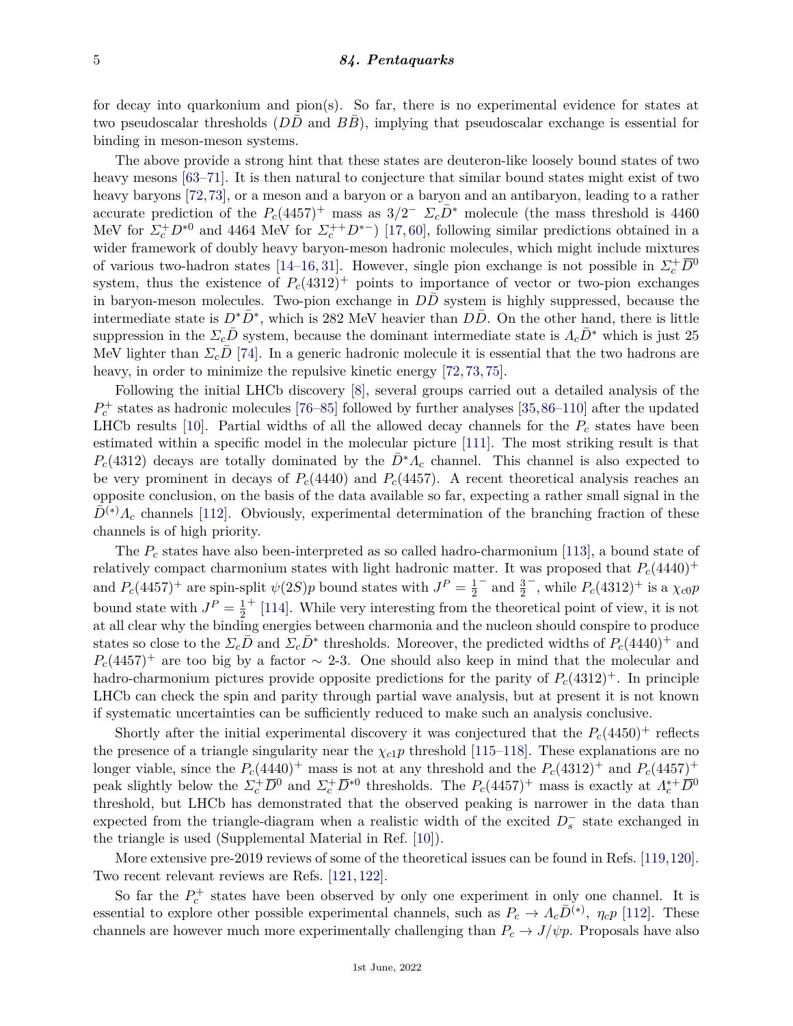#### 5 *84. Pentaquarks*

for decay into quarkonium and pion(s). So far, there is no experimental evidence for states at two pseudoscalar thresholds (*DD* and *BB*), implying that pseudoscalar exchange is essential for binding in meson-meson systems.

The above provide a strong hint that these states are deuteron-like loosely bound states of two heavy mesons [\[63–](#page-8-4)[71\]](#page-8-5). It is then natural to conjecture that similar bound states might exist of two heavy baryons [\[72,](#page-8-6)[73\]](#page-8-7), or a meson and a baryon or a baryon and an antibaryon, leading to a rather accurate prediction of the  $P_c(4457)^+$  mass as  $3/2^ \Sigma_c\overline{D}{}^*$  molecule (the mass threshold is 4460 MeV for  $\Sigma_c^+ D^{*0}$  and 4464 MeV for  $\Sigma_c^{++} D^{*-}$ ) [\[17,](#page-6-13) [60\]](#page-8-1), following similar predictions obtained in a wider framework of doubly heavy baryon-meson hadronic molecules, which might include mixtures of various two-hadron states [\[14](#page-6-12)[–16,](#page-6-15) [31\]](#page-7-7). However, single pion exchange is not possible in  $\Sigma_c^+ \overline{D}{}^0$ system, thus the existence of  $P_c(4312)^+$  points to importance of vector or two-pion exchanges in baryon-meson molecules. Two-pion exchange in *DD* system is highly suppressed, because the intermediate state is  $D^*\bar{D}^*$ , which is 282 MeV heavier than  $D\bar{D}$ . On the other hand, there is little suppression in the  $\Sigma_c D$  system, because the dominant intermediate state is  $\Lambda_c D^*$  which is just 25 MeV lighter than  $\Sigma_c \bar{D}$  [\[74\]](#page-8-8). In a generic hadronic molecule it is essential that the two hadrons are heavy, in order to minimize the repulsive kinetic energy [\[72,](#page-8-6) [73,](#page-8-7) [75\]](#page-8-9).

Following the initial LHCb discovery [\[8\]](#page-6-6), several groups carried out a detailed analysis of the  $P_c^+$  states as hadronic molecules [\[76–](#page-8-10)[85\]](#page-8-11) followed by further analyses [\[35,](#page-7-23)[86–](#page-8-12)[110\]](#page-9-0) after the updated LHCb results  $[10]$ . Partial widths of all the allowed decay channels for the  $P_c$  states have been estimated within a specific model in the molecular picture [\[111\]](#page-9-1). The most striking result is that  $P_c(4312)$  decays are totally dominated by the  $D^*A_c$  channel. This channel is also expected to be very prominent in decays of  $P_c(4440)$  and  $P_c(4457)$ . A recent theoretical analysis reaches an opposite conclusion, on the basis of the data available so far, expecting a rather small signal in the  $D^{(*)}$ *Λ*<sub>*c*</sub> channels [\[112\]](#page-9-2). Obviously, experimental determination of the branching fraction of these channels is of high priority.

The *P<sup>c</sup>* states have also been-interpreted as so called hadro-charmonium [\[113\]](#page-9-3), a bound state of relatively compact charmonium states with light hadronic matter. It was proposed that  $P_c(4440)^+$ and  $P_c(4457)^+$  are spin-split  $\psi(2S)p$  bound states with  $J^P = \frac{1}{2}$ 2  $−$  and  $\frac{3}{2}$  $^{-}$ , while *P*<sup>*c*</sup>(4312)<sup>+</sup> is a *χc*<sub>0</sub>*p*</sub> bound state with  $J^P = \frac{1}{2}$  $\overline{2}$ + [\[114\]](#page-9-4). While very interesting from the theoretical point of view, it is not at all clear why the binding energies between charmonia and the nucleon should conspire to produce states so close to the  $\Sigma_c\overline{D}$  and  $\Sigma_c\overline{D}$ <sup>\*</sup> thresholds. Moreover, the predicted widths of  $P_c(4440)^+$  and  $P_c(4457)^+$  are too big by a factor ~ 2-3. One should also keep in mind that the molecular and hadro-charmonium pictures provide opposite predictions for the parity of  $P_c(4312)^+$ . In principle LHCb can check the spin and parity through partial wave analysis, but at present it is not known if systematic uncertainties can be sufficiently reduced to make such an analysis conclusive.

Shortly after the initial experimental discovery it was conjectured that the  $P_c(4450)^+$  reflects the presence of a triangle singularity near the  $\chi_{c1}p$  threshold [\[115–](#page-9-5)[118\]](#page-9-6). These explanations are no longer viable, since the  $P_c(4440)^+$  mass is not at any threshold and the  $P_c(4312)^+$  and  $P_c(4457)^+$ peak slightly below the  $\Sigma_c^+ \overline{D}{}^0$  and  $\Sigma_c^+ \overline{D}{}^{*0}$  thresholds. The  $P_c(4457)^+$  mass is exactly at  $\Lambda_c^{*+} \overline{D}{}^0$ threshold, but LHCb has demonstrated that the observed peaking is narrower in the data than expected from the triangle-diagram when a realistic width of the excited *D*<sup>−</sup> *s* state exchanged in the triangle is used (Supplemental Material in Ref. [\[10\]](#page-6-8)).

More extensive pre-2019 reviews of some of the theoretical issues can be found in Refs. [\[119,](#page-9-7)[120\]](#page-9-8). Two recent relevant reviews are Refs. [\[121,](#page-9-9) [122\]](#page-9-10).

So far the  $P_c^+$  states have been observed by only one experiment in only one channel. It is essential to explore other possible experimental channels, such as  $P_c \to \Lambda_c \bar{D}^{(*)}$ ,  $\eta_c p$  [\[112\]](#page-9-2). These channels are however much more experimentally challenging than  $P_c \to J/\psi p$ . Proposals have also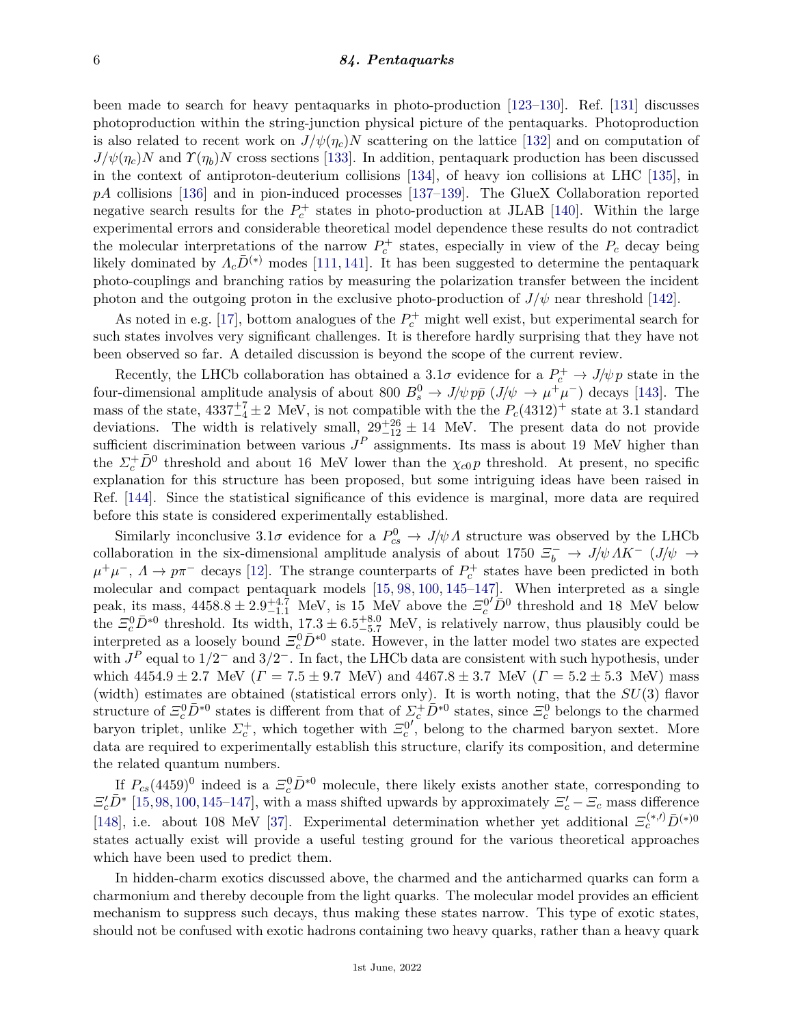#### 6 *84. Pentaquarks*

been made to search for heavy pentaquarks in photo-production [\[123–](#page-9-11)[130\]](#page-10-0). Ref. [\[131\]](#page-10-1) discusses photoproduction within the string-junction physical picture of the pentaquarks. Photoproduction is also related to recent work on  $J/\psi(\eta_c)N$  scattering on the lattice [\[132\]](#page-10-2) and on computation of  $J/\psi(\eta_c)N$  and  $\Upsilon(\eta_b)N$  cross sections [\[133\]](#page-10-3). In addition, pentaquark production has been discussed in the context of antiproton-deuterium collisions [\[134\]](#page-10-4), of heavy ion collisions at LHC [\[135\]](#page-10-5), in *pA* collisions [\[136\]](#page-10-6) and in pion-induced processes [\[137–](#page-10-7)[139\]](#page-10-8). The GlueX Collaboration reported negative search results for the  $P_c^+$  states in photo-production at JLAB [\[140\]](#page-10-9). Within the large experimental errors and considerable theoretical model dependence these results do not contradict the molecular interpretations of the narrow  $P_c^+$  states, especially in view of the  $P_c$  decay being likely dominated by  $\Lambda_c\bar{D}^{(*)}$  modes [\[111,](#page-9-1) [141\]](#page-10-10). It has been suggested to determine the pentaquark photo-couplings and branching ratios by measuring the polarization transfer between the incident photon and the outgoing proton in the exclusive photo-production of  $J/\psi$  near threshold [\[142\]](#page-10-11).

As noted in e.g. [\[17\]](#page-6-13), bottom analogues of the  $P_c^+$  might well exist, but experimental search for such states involves very significant challenges. It is therefore hardly surprising that they have not been observed so far. A detailed discussion is beyond the scope of the current review.

Recently, the LHCb collaboration has obtained a  $3.1\sigma$  evidence for a  $P_c^+ \rightarrow J/\psi p$  state in the four-dimensional amplitude analysis of about 800  $B_s^0 \to J/\psi p\bar{p}$  ( $J/\psi \to \mu^+\mu^-$ ) decays [\[143\]](#page-10-12). The mass of the state,  $4337^{+7}_{-4} \pm 2$  MeV, is not compatible with the the  $P_c(4312)^+$  state at 3.1 standard deviations. The width is relatively small,  $29^{+26}_{-12} \pm 14$  MeV. The present data do not provide sufficient discrimination between various  $J<sup>P</sup>$  assignments. Its mass is about 19 MeV higher than the  $\Sigma_c^+ \bar{D}^0$  threshold and about 16 MeV lower than the  $\chi_{c0} p$  threshold. At present, no specific explanation for this structure has been proposed, but some intriguing ideas have been raised in Ref. [\[144\]](#page-10-13). Since the statistical significance of this evidence is marginal, more data are required before this state is considered experimentally established.

Similarly inconclusive  $3.1\sigma$  evidence for a  $P_{cs}^0 \rightarrow J/\psi \Lambda$  structure was observed by the LHCb collaboration in the six-dimensional amplitude analysis of about 1750  $\Xi_b^-$  → *J/ψ ΛK*<sup>-</sup> (*J/ψ* →  $\mu^+\mu^-$ ,  $\Lambda \to p\pi^-$  decays [\[12\]](#page-6-10). The strange counterparts of  $P_c^+$  states have been predicted in both molecular and compact pentaquark models [\[15,](#page-6-16) [98,](#page-9-12) [100,](#page-9-13) [145–](#page-10-14)[147\]](#page-10-15). When interpreted as a single peak, its mass,  $4458.8 \pm 2.9^{+4.7}_{-1.1}$  MeV, is 15 MeV above the  $\Xi_c^{0'}\bar{D}^0$  threshold and 18 MeV below the  $\mathcal{Z}_c^0 \bar{D}^{*0}$  threshold. Its width,  $17.3 \pm 6.5^{+8.0}_{-5.7}$  MeV, is relatively narrow, thus plausibly could be interpreted as a loosely bound  $\Xi_c^0 \bar{D}^{*0}$  state. However, in the latter model two states are expected with  $J^P$  equal to  $1/2^-$  and  $3/2^-$ . In fact, the LHCb data are consistent with such hypothesis, under which  $4454.9 \pm 2.7$  MeV ( $\Gamma = 7.5 \pm 9.7$  MeV) and  $4467.8 \pm 3.7$  MeV ( $\Gamma = 5.2 \pm 5.3$  MeV) mass (width) estimates are obtained (statistical errors only). It is worth noting, that the *SU*(3) flavor structure of  $\Xi_c^0 \bar{D}^{*0}$  states is different from that of  $\Sigma_c^+ \bar{D}^{*0}$  states, since  $\Xi_c^0$  belongs to the charmed baryon triplet, unlike  $\Sigma_c^+$ , which together with  $\Xi_c^0$  $\int$ , belong to the charmed baryon sextet. More data are required to experimentally establish this structure, clarify its composition, and determine the related quantum numbers.

If  $P_{cs}(4459)^0$  indeed is a  $\Xi_c^0 \bar{D}^{*0}$  molecule, there likely exists another state, corresponding to  $\Xi_c^{\prime}\bar{D}^*$  [\[15,](#page-6-16)[98,](#page-9-12)[100,](#page-9-13)[145](#page-10-14)[–147\]](#page-10-15), with a mass shifted upwards by approximately  $\Xi_c^{\prime}$  –  $\Xi_c$  mass difference [\[148\]](#page-10-16), i.e. about 108 MeV [\[37\]](#page-7-11). Experimental determination whether yet additional  $\mathcal{Z}_c^{(*,i)}\bar{D}^{(*)0}$ states actually exist will provide a useful testing ground for the various theoretical approaches which have been used to predict them.

In hidden-charm exotics discussed above, the charmed and the anticharmed quarks can form a charmonium and thereby decouple from the light quarks. The molecular model provides an efficient mechanism to suppress such decays, thus making these states narrow. This type of exotic states, should not be confused with exotic hadrons containing two heavy quarks, rather than a heavy quark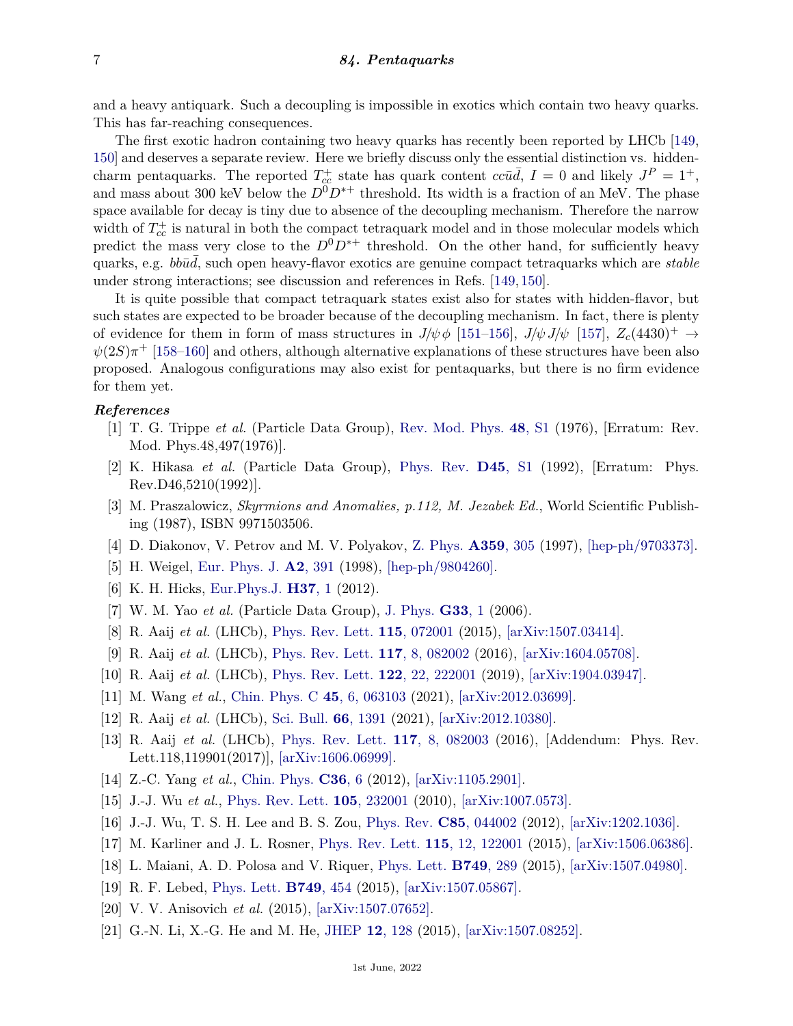and a heavy antiquark. Such a decoupling is impossible in exotics which contain two heavy quarks. This has far-reaching consequences.

The first exotic hadron containing two heavy quarks has recently been reported by LHCb [\[149,](#page-10-17) [150\]](#page-10-18) and deserves a separate review. Here we briefly discuss only the essential distinction vs. hiddencharm pentaquarks. The reported  $T_{cc}^+$  state has quark content  $cc\bar{u}\bar{d}$ ,  $I = 0$  and likely  $J^P = 1^+$ , and mass about 300 keV below the  $D^0D^{*+}$  threshold. Its width is a fraction of an MeV. The phase space available for decay is tiny due to absence of the decoupling mechanism. Therefore the narrow width of  $T_{cc}^+$  is natural in both the compact tetraquark model and in those molecular models which predict the mass very close to the  $D^0D^{*+}$  threshold. On the other hand, for sufficiently heavy quarks, e.g. *bbud*, such open heavy-flavor exotics are genuine compact tetraquarks which are *stable* under strong interactions; see discussion and references in Refs. [\[149,](#page-10-17) [150\]](#page-10-18).

It is quite possible that compact tetraquark states exist also for states with hidden-flavor, but such states are expected to be broader because of the decoupling mechanism. In fact, there is plenty of evidence for them in form of mass structures in  $J/\psi \phi$  [\[151](#page-10-19)[–156\]](#page-10-20),  $J/\psi J/\psi$  [\[157\]](#page-10-21),  $Z_c(4430)^+$   $\rightarrow$  $\psi(2S)\pi^+$  [\[158](#page-10-22)[–160\]](#page-10-23) and others, although alternative explanations of these structures have been also proposed. Analogous configurations may also exist for pentaquarks, but there is no firm evidence for them yet.

### <span id="page-6-0"></span>*References*

- [1] T. G. Trippe *et al.* (Particle Data Group), [Rev. Mod. Phys.](http://doi.org/10.1103/RevModPhys.48.S1) **48**[, S1](http://doi.org/10.1103/RevModPhys.48.S1) (1976), [Erratum: Rev. Mod. Phys.48,497(1976)].
- <span id="page-6-1"></span>[2] K. Hikasa *et al.* (Particle Data Group), [Phys. Rev.](http://doi.org/10.1103/PhysRevD.46.5210) **[D45](http://doi.org/10.1103/PhysRevD.46.5210)**, S1 (1992), [Erratum: Phys. Rev.D46,5210(1992)].
- <span id="page-6-2"></span>[3] M. Praszalowicz, *Skyrmions and Anomalies, p.112, M. Jezabek Ed.*, World Scientific Publishing (1987), ISBN 9971503506.
- [4] D. Diakonov, V. Petrov and M. V. Polyakov, [Z. Phys.](http://doi.org/10.1007/s002180050406) **[A359](http://doi.org/10.1007/s002180050406)**, 305 (1997), [\[hep-ph/9703373\].](https://arxiv.org/abs/hep-ph/9703373)
- <span id="page-6-4"></span><span id="page-6-3"></span>[5] H. Weigel, [Eur. Phys. J.](http://doi.org/10.1007/s100500050136) **A2**[, 391](http://doi.org/10.1007/s100500050136) (1998), [\[hep-ph/9804260\].](https://arxiv.org/abs/hep-ph/9804260)
- [6] K. H. Hicks, [Eur.Phys.J.](http://doi.org/10.1140/epjh/e2012-20032-0) **[H37](http://doi.org/10.1140/epjh/e2012-20032-0)**, 1 (2012).
- <span id="page-6-5"></span>[7] W. M. Yao *et al.* (Particle Data Group), [J. Phys.](http://doi.org/10.1088/0954-3899/33/1/001) **[G33](http://doi.org/10.1088/0954-3899/33/1/001)**, 1 (2006).
- <span id="page-6-6"></span>[8] R. Aaij *et al.* (LHCb), [Phys. Rev. Lett.](http://doi.org/10.1103/PhysRevLett.115.072001) **115**[, 072001](http://doi.org/10.1103/PhysRevLett.115.072001) (2015), [\[arXiv:1507.03414\].](https://arxiv.org/abs/1507.03414)
- <span id="page-6-7"></span>[9] R. Aaij *et al.* (LHCb), [Phys. Rev. Lett.](http://doi.org/10.1103/PhysRevLett.117.082002) **117**[, 8, 082002](http://doi.org/10.1103/PhysRevLett.117.082002) (2016), [\[arXiv:1604.05708\].](https://arxiv.org/abs/1604.05708)
- <span id="page-6-8"></span>[10] R. Aaij *et al.* (LHCb), [Phys. Rev. Lett.](http://doi.org/10.1103/PhysRevLett.122.222001) **122**[, 22, 222001](http://doi.org/10.1103/PhysRevLett.122.222001) (2019), [\[arXiv:1904.03947\].](https://arxiv.org/abs/1904.03947)
- <span id="page-6-9"></span>[11] M. Wang *et al.*, [Chin. Phys. C](http://doi.org/10.1088/1674-1137/abf139) **45**[, 6, 063103](http://doi.org/10.1088/1674-1137/abf139) (2021), [\[arXiv:2012.03699\].](https://arxiv.org/abs/2012.03699)
- <span id="page-6-10"></span>[12] R. Aaij *et al.* (LHCb), [Sci. Bull.](http://doi.org/10.1016/j.scib.2021.02.030) **66**[, 1391](http://doi.org/10.1016/j.scib.2021.02.030) (2021), [\[arXiv:2012.10380\].](https://arxiv.org/abs/2012.10380)
- <span id="page-6-11"></span>[13] R. Aaij *et al.* (LHCb), [Phys. Rev. Lett.](http://doi.org/10.1103/PhysRevLett.118.119901) **117**[, 8, 082003](http://doi.org/10.1103/PhysRevLett.118.119901) (2016), [Addendum: Phys. Rev. Lett.118,119901(2017)], [\[arXiv:1606.06999\].](https://arxiv.org/abs/1606.06999)
- <span id="page-6-12"></span>[14] Z.-C. Yang *et al.*, [Chin. Phys.](http://doi.org/10.1088/1674-1137/36/1/002) **[C36](http://doi.org/10.1088/1674-1137/36/1/002)**, 6 (2012), [\[arXiv:1105.2901\].](https://arxiv.org/abs/1105.2901)
- <span id="page-6-16"></span>[15] J.-J. Wu *et al.*, [Phys. Rev. Lett.](http://doi.org/10.1103/PhysRevLett.105.232001) **105**[, 232001](http://doi.org/10.1103/PhysRevLett.105.232001) (2010), [\[arXiv:1007.0573\].](https://arxiv.org/abs/1007.0573)
- <span id="page-6-15"></span>[16] J.-J. Wu, T. S. H. Lee and B. S. Zou, [Phys. Rev.](http://doi.org/10.1103/PhysRevC.85.044002) **C85**[, 044002](http://doi.org/10.1103/PhysRevC.85.044002) (2012), [\[arXiv:1202.1036\].](https://arxiv.org/abs/1202.1036)
- <span id="page-6-13"></span>[17] M. Karliner and J. L. Rosner, [Phys. Rev. Lett.](http://doi.org/10.1103/PhysRevLett.115.122001) **115**[, 12, 122001](http://doi.org/10.1103/PhysRevLett.115.122001) (2015), [\[arXiv:1506.06386\].](https://arxiv.org/abs/1506.06386)
- <span id="page-6-14"></span>[18] L. Maiani, A. D. Polosa and V. Riquer, [Phys. Lett.](http://doi.org/10.1016/j.physletb.2015.08.008) **[B749](http://doi.org/10.1016/j.physletb.2015.08.008)**, 289 (2015), [\[arXiv:1507.04980\].](https://arxiv.org/abs/1507.04980)
- [19] R. F. Lebed, [Phys. Lett.](http://doi.org/10.1016/j.physletb.2015.08.032) **[B749](http://doi.org/10.1016/j.physletb.2015.08.032)**, 454 (2015), [\[arXiv:1507.05867\].](https://arxiv.org/abs/1507.05867)
- [20] V. V. Anisovich *et al.* (2015), [\[arXiv:1507.07652\].](https://arxiv.org/abs/1507.07652)
- [21] G.-N. Li, X.-G. He and M. He, [JHEP](http://doi.org/10.1007/JHEP12(2015)128) **12**[, 128](http://doi.org/10.1007/JHEP12(2015)128) (2015), [\[arXiv:1507.08252\].](https://arxiv.org/abs/1507.08252)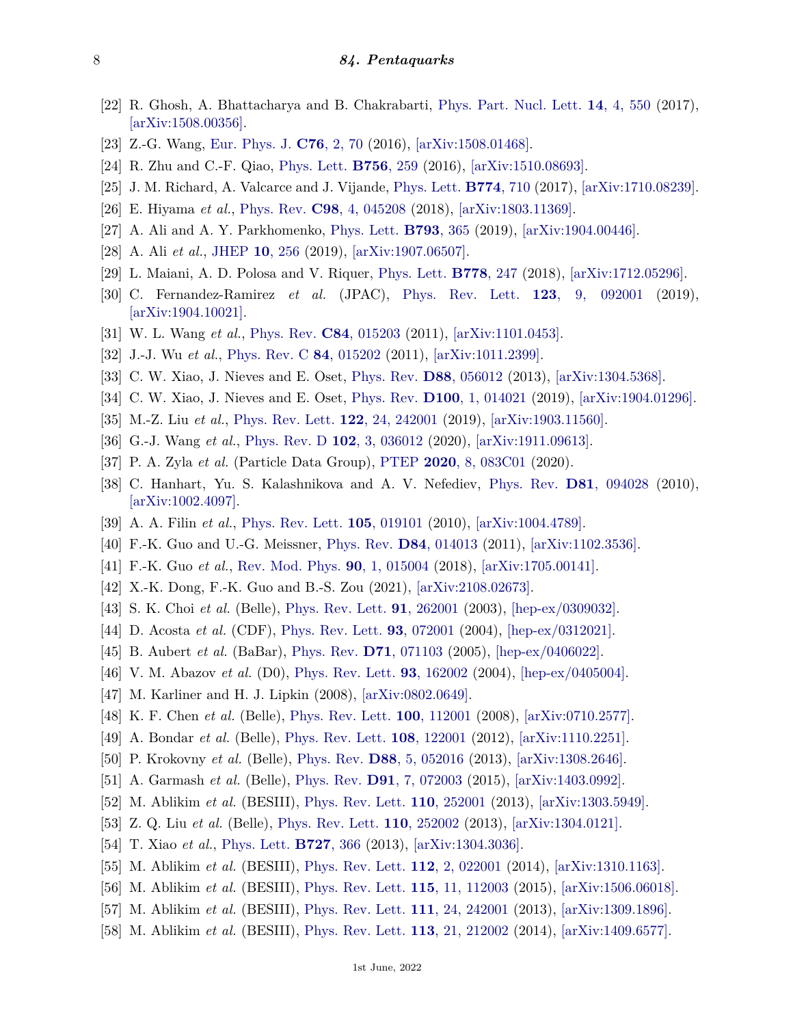- [22] R. Ghosh, A. Bhattacharya and B. Chakrabarti, [Phys. Part. Nucl. Lett.](http://doi.org/10.1134/S1547477117040100) **14**[, 4, 550](http://doi.org/10.1134/S1547477117040100) (2017), [\[arXiv:1508.00356\].](https://arxiv.org/abs/1508.00356)
- [23] Z.-G. Wang, [Eur. Phys. J.](http://doi.org/10.1140/epjc/s10052-016-3920-4) **C76**[, 2, 70](http://doi.org/10.1140/epjc/s10052-016-3920-4) (2016), [\[arXiv:1508.01468\].](https://arxiv.org/abs/1508.01468)
- <span id="page-7-0"></span>[24] R. Zhu and C.-F. Qiao, [Phys. Lett.](http://doi.org/10.1016/j.physletb.2016.03.022) **[B756](http://doi.org/10.1016/j.physletb.2016.03.022)**, 259 (2016), [\[arXiv:1510.08693\].](https://arxiv.org/abs/1510.08693)
- <span id="page-7-1"></span>[25] J. M. Richard, A. Valcarce and J. Vijande, [Phys. Lett.](http://doi.org/10.1016/j.physletb.2017.10.036) **[B774](http://doi.org/10.1016/j.physletb.2017.10.036)**, 710 (2017), [\[arXiv:1710.08239\].](https://arxiv.org/abs/1710.08239)
- <span id="page-7-2"></span>[26] E. Hiyama *et al.*, [Phys. Rev.](http://doi.org/10.1103/PhysRevC.98.045208) **C98**[, 4, 045208](http://doi.org/10.1103/PhysRevC.98.045208) (2018), [\[arXiv:1803.11369\].](https://arxiv.org/abs/1803.11369)
- <span id="page-7-3"></span>[27] A. Ali and A. Y. Parkhomenko, [Phys. Lett.](http://doi.org/10.1016/j.physletb.2019.05.002) **[B793](http://doi.org/10.1016/j.physletb.2019.05.002)**, 365 (2019), [\[arXiv:1904.00446\].](https://arxiv.org/abs/1904.00446)
- <span id="page-7-4"></span>[28] A. Ali *et al.*, [JHEP](http://doi.org/10.1007/JHEP10(2019)256) **10**[, 256](http://doi.org/10.1007/JHEP10(2019)256) (2019), [\[arXiv:1907.06507\].](https://arxiv.org/abs/1907.06507)
- <span id="page-7-5"></span>[29] L. Maiani, A. D. Polosa and V. Riquer, [Phys. Lett.](http://doi.org/10.1016/j.physletb.2018.01.039) **[B778](http://doi.org/10.1016/j.physletb.2018.01.039)**, 247 (2018), [\[arXiv:1712.05296\].](https://arxiv.org/abs/1712.05296)
- <span id="page-7-6"></span>[30] C. Fernandez-Ramirez *et al.* (JPAC), [Phys. Rev. Lett.](http://doi.org/10.1103/PhysRevLett.123.092001) **123**[, 9, 092001](http://doi.org/10.1103/PhysRevLett.123.092001) (2019), [\[arXiv:1904.10021\].](https://arxiv.org/abs/1904.10021)
- <span id="page-7-7"></span>[31] W. L. Wang *et al.*, [Phys. Rev.](http://doi.org/10.1103/PhysRevC.84.015203) **C84**[, 015203](http://doi.org/10.1103/PhysRevC.84.015203) (2011), [\[arXiv:1101.0453\].](https://arxiv.org/abs/1101.0453)
- <span id="page-7-8"></span>[32] J.-J. Wu *et al.*, [Phys. Rev. C](http://doi.org/10.1103/PhysRevC.84.015202) **84**[, 015202](http://doi.org/10.1103/PhysRevC.84.015202) (2011), [\[arXiv:1011.2399\].](https://arxiv.org/abs/1011.2399)
- <span id="page-7-9"></span>[33] C. W. Xiao, J. Nieves and E. Oset, [Phys. Rev.](http://doi.org/10.1103/PhysRevD.88.056012) **D88**[, 056012](http://doi.org/10.1103/PhysRevD.88.056012) (2013), [\[arXiv:1304.5368\].](https://arxiv.org/abs/1304.5368)
- [34] C. W. Xiao, J. Nieves and E. Oset, [Phys. Rev.](http://doi.org/10.1103/PhysRevD.100.014021) **D100**[, 1, 014021](http://doi.org/10.1103/PhysRevD.100.014021) (2019), [\[arXiv:1904.01296\].](https://arxiv.org/abs/1904.01296)
- <span id="page-7-23"></span>[35] M.-Z. Liu *et al.*, [Phys. Rev. Lett.](http://doi.org/10.1103/PhysRevLett.122.242001) **122**[, 24, 242001](http://doi.org/10.1103/PhysRevLett.122.242001) (2019), [\[arXiv:1903.11560\].](https://arxiv.org/abs/1903.11560)
- <span id="page-7-10"></span>[36] G.-J. Wang *et al.*, [Phys. Rev. D](http://doi.org/10.1103/PhysRevD.102.036012) **102**[, 3, 036012](http://doi.org/10.1103/PhysRevD.102.036012) (2020), [\[arXiv:1911.09613\].](https://arxiv.org/abs/1911.09613)
- <span id="page-7-11"></span>[37] P. A. Zyla *et al.* (Particle Data Group), [PTEP](http://doi.org/10.1093/ptep/ptaa104) **2020**[, 8, 083C01](http://doi.org/10.1093/ptep/ptaa104) (2020).
- <span id="page-7-12"></span>[38] C. Hanhart, Yu. S. Kalashnikova and A. V. Nefediev, [Phys. Rev.](http://doi.org/10.1103/PhysRevD.81.094028) **D81**[, 094028](http://doi.org/10.1103/PhysRevD.81.094028) (2010), [\[arXiv:1002.4097\].](https://arxiv.org/abs/1002.4097)
- [39] A. A. Filin *et al.*, [Phys. Rev. Lett.](http://doi.org/10.1103/PhysRevLett.105.019101) **105**[, 019101](http://doi.org/10.1103/PhysRevLett.105.019101) (2010), [\[arXiv:1004.4789\].](https://arxiv.org/abs/1004.4789)
- <span id="page-7-13"></span>[40] F.-K. Guo and U.-G. Meissner, [Phys. Rev.](http://doi.org/10.1103/PhysRevD.84.014013) **D84**[, 014013](http://doi.org/10.1103/PhysRevD.84.014013) (2011), [\[arXiv:1102.3536\].](https://arxiv.org/abs/1102.3536)
- <span id="page-7-14"></span>[41] F.-K. Guo *et al.*, [Rev. Mod. Phys.](http://doi.org/10.1103/RevModPhys.90.015004) **90**[, 1, 015004](http://doi.org/10.1103/RevModPhys.90.015004) (2018), [\[arXiv:1705.00141\].](https://arxiv.org/abs/1705.00141)
- <span id="page-7-15"></span>[42] X.-K. Dong, F.-K. Guo and B.-S. Zou (2021), [\[arXiv:2108.02673\].](https://arxiv.org/abs/2108.02673)
- <span id="page-7-16"></span>[43] S. K. Choi *et al.* (Belle), [Phys. Rev. Lett.](http://doi.org/10.1103/PhysRevLett.91.262001) **91**[, 262001](http://doi.org/10.1103/PhysRevLett.91.262001) (2003), [\[hep-ex/0309032\].](https://arxiv.org/abs/hep-ex/0309032)
- [44] D. Acosta *et al.* (CDF), [Phys. Rev. Lett.](http://doi.org/10.1103/PhysRevLett.93.072001) **93**[, 072001](http://doi.org/10.1103/PhysRevLett.93.072001) (2004), [\[hep-ex/0312021\].](https://arxiv.org/abs/hep-ex/0312021)
- [45] B. Aubert *et al.* (BaBar), [Phys. Rev.](http://doi.org/10.1103/PhysRevD.71.071103) **D71**[, 071103](http://doi.org/10.1103/PhysRevD.71.071103) (2005), [\[hep-ex/0406022\].](https://arxiv.org/abs/hep-ex/0406022)
- <span id="page-7-17"></span>[46] V. M. Abazov *et al.* (D0), [Phys. Rev. Lett.](http://doi.org/10.1103/PhysRevLett.93.162002) **93**[, 162002](http://doi.org/10.1103/PhysRevLett.93.162002) (2004), [\[hep-ex/0405004\].](https://arxiv.org/abs/hep-ex/0405004)
- <span id="page-7-18"></span>[47] M. Karliner and H. J. Lipkin (2008), [\[arXiv:0802.0649\].](https://arxiv.org/abs/0802.0649)
- [48] K. F. Chen *et al.* (Belle), [Phys. Rev. Lett.](http://doi.org/10.1103/PhysRevLett.100.112001) **100**[, 112001](http://doi.org/10.1103/PhysRevLett.100.112001) (2008), [\[arXiv:0710.2577\].](https://arxiv.org/abs/0710.2577)
- [49] A. Bondar *et al.* (Belle), [Phys. Rev. Lett.](http://doi.org/10.1103/PhysRevLett.108.122001) **108**[, 122001](http://doi.org/10.1103/PhysRevLett.108.122001) (2012), [\[arXiv:1110.2251\].](https://arxiv.org/abs/1110.2251)
- [50] P. Krokovny *et al.* (Belle), [Phys. Rev.](http://doi.org/10.1103/PhysRevD.88.052016) **D88**[, 5, 052016](http://doi.org/10.1103/PhysRevD.88.052016) (2013), [\[arXiv:1308.2646\].](https://arxiv.org/abs/1308.2646)
- <span id="page-7-19"></span>[51] A. Garmash *et al.* (Belle), [Phys. Rev.](http://doi.org/10.1103/PhysRevD.91.072003) **D91**[, 7, 072003](http://doi.org/10.1103/PhysRevD.91.072003) (2015), [\[arXiv:1403.0992\].](https://arxiv.org/abs/1403.0992)
- <span id="page-7-20"></span>[52] M. Ablikim *et al.* (BESIII), [Phys. Rev. Lett.](http://doi.org/10.1103/PhysRevLett.110.252001) **110**[, 252001](http://doi.org/10.1103/PhysRevLett.110.252001) (2013), [\[arXiv:1303.5949\].](https://arxiv.org/abs/1303.5949)
- [53] Z. Q. Liu *et al.* (Belle), [Phys. Rev. Lett.](http://doi.org/10.1103/PhysRevLett.110.252002) **110**[, 252002](http://doi.org/10.1103/PhysRevLett.110.252002) (2013), [\[arXiv:1304.0121\].](https://arxiv.org/abs/1304.0121)
- [54] T. Xiao *et al.*, [Phys. Lett.](http://doi.org/10.1016/j.physletb.2013.10.041) **[B727](http://doi.org/10.1016/j.physletb.2013.10.041)**, 366 (2013), [\[arXiv:1304.3036\].](https://arxiv.org/abs/1304.3036)
- [55] M. Ablikim *et al.* (BESIII), [Phys. Rev. Lett.](http://doi.org/10.1103/PhysRevLett.112.022001) **112**[, 2, 022001](http://doi.org/10.1103/PhysRevLett.112.022001) (2014), [\[arXiv:1310.1163\].](https://arxiv.org/abs/1310.1163)
- <span id="page-7-21"></span>[56] M. Ablikim *et al.* (BESIII), [Phys. Rev. Lett.](http://doi.org/10.1103/PhysRevLett.115.112003) **115**[, 11, 112003](http://doi.org/10.1103/PhysRevLett.115.112003) (2015), [\[arXiv:1506.06018\].](https://arxiv.org/abs/1506.06018)
- <span id="page-7-22"></span>[57] M. Ablikim *et al.* (BESIII), [Phys. Rev. Lett.](http://doi.org/10.1103/PhysRevLett.111.242001) **111**[, 24, 242001](http://doi.org/10.1103/PhysRevLett.111.242001) (2013), [\[arXiv:1309.1896\].](https://arxiv.org/abs/1309.1896)
- [58] M. Ablikim *et al.* (BESIII), [Phys. Rev. Lett.](http://doi.org/10.1103/PhysRevLett.113.212002) **113**[, 21, 212002](http://doi.org/10.1103/PhysRevLett.113.212002) (2014), [\[arXiv:1409.6577\].](https://arxiv.org/abs/1409.6577)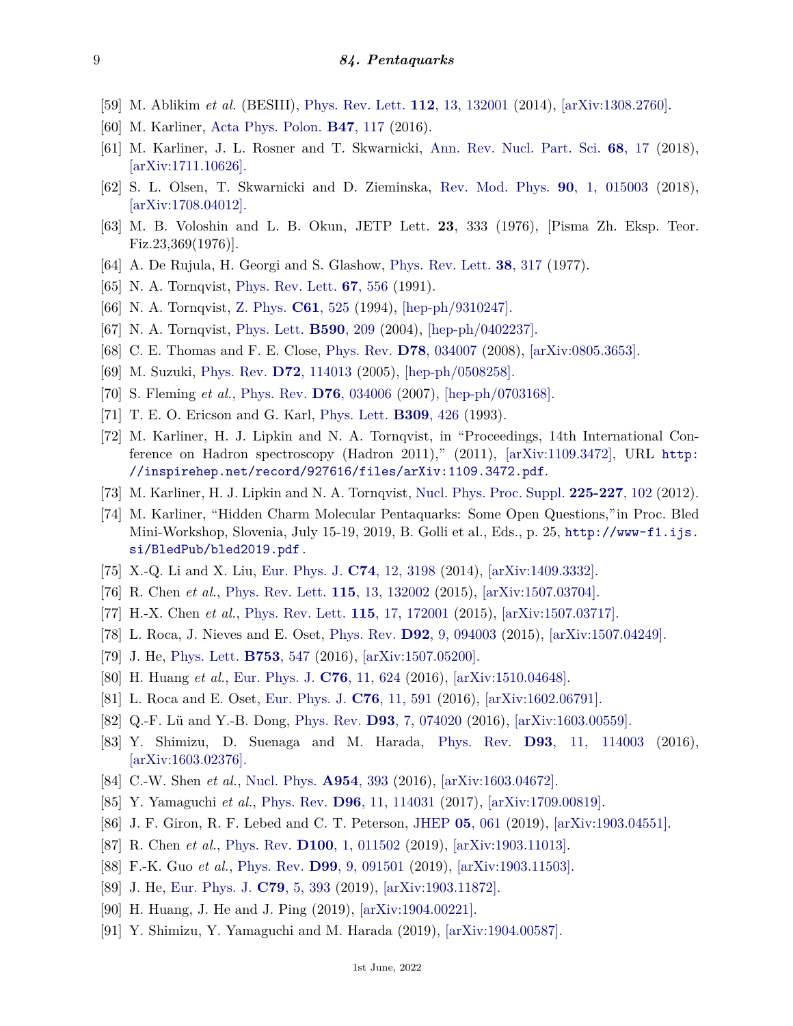- <span id="page-8-0"></span>[59] M. Ablikim *et al.* (BESIII), [Phys. Rev. Lett.](http://doi.org/10.1103/PhysRevLett.112.132001) **112**[, 13, 132001](http://doi.org/10.1103/PhysRevLett.112.132001) (2014), [\[arXiv:1308.2760\].](https://arxiv.org/abs/1308.2760)
- <span id="page-8-1"></span>[60] M. Karliner, [Acta Phys. Polon.](http://doi.org/10.5506/APhysPolB.47.117) **B47**[, 117](http://doi.org/10.5506/APhysPolB.47.117) (2016).
- <span id="page-8-2"></span>[61] M. Karliner, J. L. Rosner and T. Skwarnicki, [Ann. Rev. Nucl. Part. Sci.](http://doi.org/10.1146/annurev-nucl-101917-020902) **68**[, 17](http://doi.org/10.1146/annurev-nucl-101917-020902) (2018), [\[arXiv:1711.10626\].](https://arxiv.org/abs/1711.10626)
- <span id="page-8-3"></span>[62] S. L. Olsen, T. Skwarnicki and D. Zieminska, [Rev. Mod. Phys.](http://doi.org/10.1103/RevModPhys.90.015003) **90**[, 1, 015003](http://doi.org/10.1103/RevModPhys.90.015003) (2018), [\[arXiv:1708.04012\].](https://arxiv.org/abs/1708.04012)
- <span id="page-8-4"></span>[63] M. B. Voloshin and L. B. Okun, JETP Lett. **23**, 333 (1976), [Pisma Zh. Eksp. Teor. Fiz.23,369(1976)].
- [64] A. De Rujula, H. Georgi and S. Glashow, [Phys. Rev. Lett.](http://doi.org/10.1103/PhysRevLett.38.317) **38**[, 317](http://doi.org/10.1103/PhysRevLett.38.317) (1977).
- [65] N. A. Tornqvist, [Phys. Rev. Lett.](http://doi.org/10.1103/PhysRevLett.67.556) **67**[, 556](http://doi.org/10.1103/PhysRevLett.67.556) (1991).
- [66] N. A. Tornqvist, [Z. Phys.](http://doi.org/10.1007/BF01413192) **C61**[, 525](http://doi.org/10.1007/BF01413192) (1994), [\[hep-ph/9310247\].](https://arxiv.org/abs/hep-ph/9310247)
- [67] N. A. Tornqvist, [Phys. Lett.](http://doi.org/10.1016/j.physletb.2004.03.077) **[B590](http://doi.org/10.1016/j.physletb.2004.03.077)**, 209 (2004), [\[hep-ph/0402237\].](https://arxiv.org/abs/hep-ph/0402237)
- [68] C. E. Thomas and F. E. Close, [Phys. Rev.](http://doi.org/10.1103/PhysRevD.78.034007) **D78**[, 034007](http://doi.org/10.1103/PhysRevD.78.034007) (2008), [\[arXiv:0805.3653\].](https://arxiv.org/abs/0805.3653)
- [69] M. Suzuki, [Phys. Rev.](http://doi.org/10.1103/PhysRevD.72.114013) **D72**[, 114013](http://doi.org/10.1103/PhysRevD.72.114013) (2005), [\[hep-ph/0508258\].](https://arxiv.org/abs/hep-ph/0508258)
- [70] S. Fleming *et al.*, [Phys. Rev.](http://doi.org/10.1103/PhysRevD.76.034006) **D76**[, 034006](http://doi.org/10.1103/PhysRevD.76.034006) (2007), [\[hep-ph/0703168\].](https://arxiv.org/abs/hep-ph/0703168)
- <span id="page-8-5"></span>[71] T. E. O. Ericson and G. Karl, [Phys. Lett.](http://doi.org/10.1016/0370-2693(93)90957-J) **[B309](http://doi.org/10.1016/0370-2693(93)90957-J)**, 426 (1993).
- <span id="page-8-6"></span>[72] M. Karliner, H. J. Lipkin and N. A. Tornqvist, in "Proceedings, 14th International Conference on Hadron spectroscopy (Hadron 2011)," (2011), [\[arXiv:1109.3472\],](https://arxiv.org/abs/1109.3472) URL [http:](http://inspirehep.net/record/927616/files/arXiv:1109.3472.pdf) [//inspirehep.net/record/927616/files/arXiv:1109.3472.pdf](http://inspirehep.net/record/927616/files/arXiv:1109.3472.pdf).
- <span id="page-8-7"></span>[73] M. Karliner, H. J. Lipkin and N. A. Tornqvist, [Nucl. Phys. Proc. Suppl.](http://doi.org/10.1016/j.nuclphysbps.2012.02.023) **[225-227](http://doi.org/10.1016/j.nuclphysbps.2012.02.023)**, 102 (2012).
- <span id="page-8-8"></span>[74] M. Karliner, "Hidden Charm Molecular Pentaquarks: Some Open Questions,"in Proc. Bled Mini-Workshop, Slovenia, July 15-19, 2019, B. Golli et al., Eds., p. 25, [http://www-f1.ijs.](http://www-f1.ijs.si/BledPub/bled2019.pdf) [si/BledPub/bled2019.pdf](http://www-f1.ijs.si/BledPub/bled2019.pdf) .
- <span id="page-8-9"></span>[75] X.-Q. Li and X. Liu, [Eur. Phys. J.](http://doi.org/10.1140/epjc/s10052-014-3198-3) **C74**[, 12, 3198](http://doi.org/10.1140/epjc/s10052-014-3198-3) (2014), [\[arXiv:1409.3332\].](https://arxiv.org/abs/1409.3332)
- <span id="page-8-10"></span>[76] R. Chen *et al.*, [Phys. Rev. Lett.](http://doi.org/10.1103/PhysRevLett.115.132002) **115**[, 13, 132002](http://doi.org/10.1103/PhysRevLett.115.132002) (2015), [\[arXiv:1507.03704\].](https://arxiv.org/abs/1507.03704)
- [77] H.-X. Chen *et al.*, [Phys. Rev. Lett.](http://doi.org/10.1103/PhysRevLett.115.172001) **115**[, 17, 172001](http://doi.org/10.1103/PhysRevLett.115.172001) (2015), [\[arXiv:1507.03717\].](https://arxiv.org/abs/1507.03717)
- [78] L. Roca, J. Nieves and E. Oset, [Phys. Rev.](http://doi.org/10.1103/PhysRevD.92.094003) **D92**[, 9, 094003](http://doi.org/10.1103/PhysRevD.92.094003) (2015), [\[arXiv:1507.04249\].](https://arxiv.org/abs/1507.04249)
- [79] J. He, [Phys. Lett.](http://doi.org/10.1016/j.physletb.2015.12.071) **[B753](http://doi.org/10.1016/j.physletb.2015.12.071)**, 547 (2016), [\[arXiv:1507.05200\].](https://arxiv.org/abs/1507.05200)
- [80] H. Huang *et al.*, [Eur. Phys. J.](http://doi.org/10.1140/epjc/s10052-016-4476-z) **C76**[, 11, 624](http://doi.org/10.1140/epjc/s10052-016-4476-z) (2016), [\[arXiv:1510.04648\].](https://arxiv.org/abs/1510.04648)
- [81] L. Roca and E. Oset, [Eur. Phys. J.](http://doi.org/10.1140/epjc/s10052-016-4407-z) **C76**[, 11, 591](http://doi.org/10.1140/epjc/s10052-016-4407-z) (2016), [\[arXiv:1602.06791\].](https://arxiv.org/abs/1602.06791)
- [82] Q.-F. Lü and Y.-B. Dong, [Phys. Rev.](http://doi.org/10.1103/PhysRevD.93.074020) **D93**[, 7, 074020](http://doi.org/10.1103/PhysRevD.93.074020) (2016), [\[arXiv:1603.00559\].](https://arxiv.org/abs/1603.00559)
- [83] Y. Shimizu, D. Suenaga and M. Harada, [Phys. Rev.](http://doi.org/10.1103/PhysRevD.93.114003) **D93**[, 11, 114003](http://doi.org/10.1103/PhysRevD.93.114003) (2016), [\[arXiv:1603.02376\].](https://arxiv.org/abs/1603.02376)
- [84] C.-W. Shen *et al.*, [Nucl. Phys.](http://doi.org/10.1016/j.nuclphysa.2016.04.034) **[A954](http://doi.org/10.1016/j.nuclphysa.2016.04.034)**, 393 (2016), [\[arXiv:1603.04672\].](https://arxiv.org/abs/1603.04672)
- <span id="page-8-11"></span>[85] Y. Yamaguchi *et al.*, [Phys. Rev.](http://doi.org/10.1103/PhysRevD.96.114031) **D96**[, 11, 114031](http://doi.org/10.1103/PhysRevD.96.114031) (2017), [\[arXiv:1709.00819\].](https://arxiv.org/abs/1709.00819)
- <span id="page-8-12"></span>[86] J. F. Giron, R. F. Lebed and C. T. Peterson, [JHEP](http://doi.org/10.1007/JHEP05(2019)061) **05**[, 061](http://doi.org/10.1007/JHEP05(2019)061) (2019), [\[arXiv:1903.04551\].](https://arxiv.org/abs/1903.04551)
- [87] R. Chen *et al.*, [Phys. Rev.](http://doi.org/10.1103/PhysRevD.100.011502) **D100**[, 1, 011502](http://doi.org/10.1103/PhysRevD.100.011502) (2019), [\[arXiv:1903.11013\].](https://arxiv.org/abs/1903.11013)
- [88] F.-K. Guo *et al.*, [Phys. Rev.](http://doi.org/10.1103/PhysRevD.99.091501) **D99**[, 9, 091501](http://doi.org/10.1103/PhysRevD.99.091501) (2019), [\[arXiv:1903.11503\].](https://arxiv.org/abs/1903.11503)
- [89] J. He, [Eur. Phys. J.](http://doi.org/10.1140/epjc/s10052-019-6906-1) **C79**[, 5, 393](http://doi.org/10.1140/epjc/s10052-019-6906-1) (2019), [\[arXiv:1903.11872\].](https://arxiv.org/abs/1903.11872)
- [90] H. Huang, J. He and J. Ping (2019), [\[arXiv:1904.00221\].](https://arxiv.org/abs/1904.00221)
- [91] Y. Shimizu, Y. Yamaguchi and M. Harada (2019), [\[arXiv:1904.00587\].](https://arxiv.org/abs/1904.00587)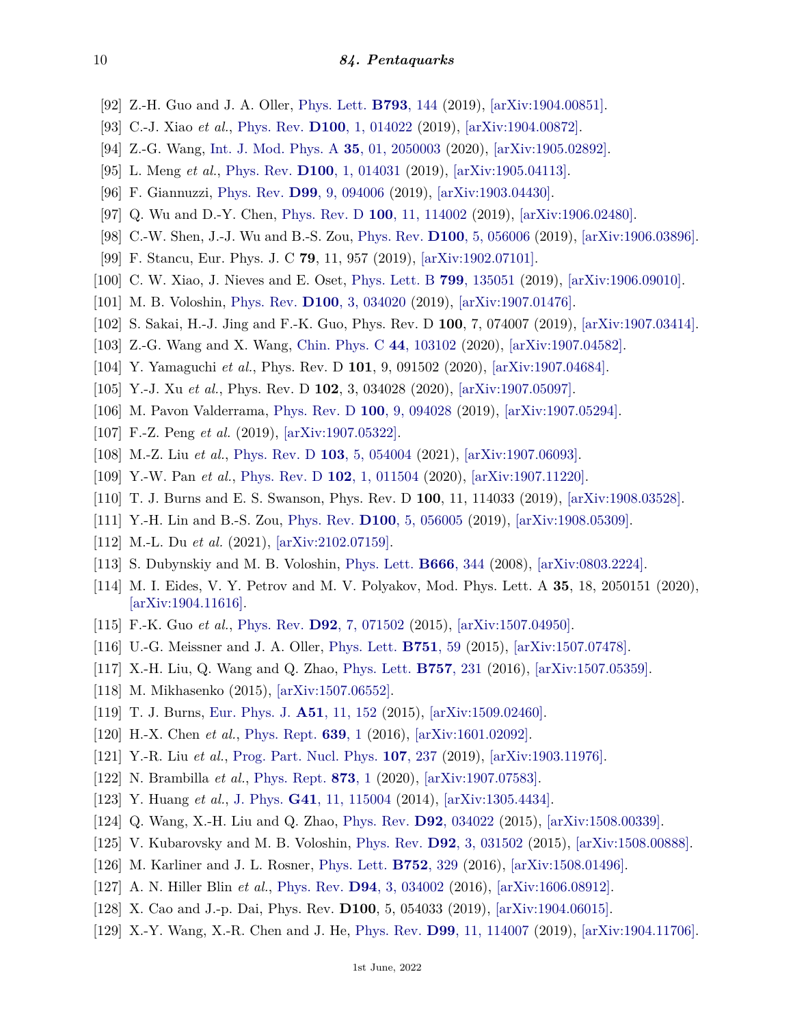- [92] Z.-H. Guo and J. A. Oller, [Phys. Lett.](http://doi.org/10.1016/j.physletb.2019.04.053) **[B793](http://doi.org/10.1016/j.physletb.2019.04.053)**, 144 (2019), [\[arXiv:1904.00851\].](https://arxiv.org/abs/1904.00851)
- [93] C.-J. Xiao *et al.*, [Phys. Rev.](http://doi.org/10.1103/PhysRevD.100.014022) **D100**[, 1, 014022](http://doi.org/10.1103/PhysRevD.100.014022) (2019), [\[arXiv:1904.00872\].](https://arxiv.org/abs/1904.00872)
- [94] Z.-G. Wang, [Int. J. Mod. Phys. A](http://doi.org/10.1142/S0217751X20500037) **35**[, 01, 2050003](http://doi.org/10.1142/S0217751X20500037) (2020), [\[arXiv:1905.02892\].](https://arxiv.org/abs/1905.02892)
- [95] L. Meng *et al.*, [Phys. Rev.](http://doi.org/10.1103/PhysRevD.100.014031) **D100**[, 1, 014031](http://doi.org/10.1103/PhysRevD.100.014031) (2019), [\[arXiv:1905.04113\].](https://arxiv.org/abs/1905.04113)
- [96] F. Giannuzzi, [Phys. Rev.](http://doi.org/10.1103/PhysRevD.99.094006) **D99**[, 9, 094006](http://doi.org/10.1103/PhysRevD.99.094006) (2019), [\[arXiv:1903.04430\].](https://arxiv.org/abs/1903.04430)
- [97] Q. Wu and D.-Y. Chen, [Phys. Rev. D](http://doi.org/10.1103/PhysRevD.100.114002) **100**[, 11, 114002](http://doi.org/10.1103/PhysRevD.100.114002) (2019), [\[arXiv:1906.02480\].](https://arxiv.org/abs/1906.02480)
- <span id="page-9-12"></span>[98] C.-W. Shen, J.-J. Wu and B.-S. Zou, [Phys. Rev.](http://doi.org/10.1103/PhysRevD.100.056006) **D100**[, 5, 056006](http://doi.org/10.1103/PhysRevD.100.056006) (2019), [\[arXiv:1906.03896\].](https://arxiv.org/abs/1906.03896)
- [99] F. Stancu, Eur. Phys. J. C **79**, 11, 957 (2019), [\[arXiv:1902.07101\].](https://arxiv.org/abs/1902.07101)
- <span id="page-9-13"></span>[100] C. W. Xiao, J. Nieves and E. Oset, [Phys. Lett. B](http://doi.org/10.1016/j.physletb.2019.135051) **799**[, 135051](http://doi.org/10.1016/j.physletb.2019.135051) (2019), [\[arXiv:1906.09010\].](https://arxiv.org/abs/1906.09010)
- [101] M. B. Voloshin, [Phys. Rev.](http://doi.org/10.1103/PhysRevD.100.034020) **D100**[, 3, 034020](http://doi.org/10.1103/PhysRevD.100.034020) (2019), [\[arXiv:1907.01476\].](https://arxiv.org/abs/1907.01476)
- [102] S. Sakai, H.-J. Jing and F.-K. Guo, Phys. Rev. D **100**, 7, 074007 (2019), [\[arXiv:1907.03414\].](https://arxiv.org/abs/1907.03414)
- [103] Z.-G. Wang and X. Wang, [Chin. Phys. C](http://doi.org/10.1088/1674-1137/ababf7) **44**[, 103102](http://doi.org/10.1088/1674-1137/ababf7) (2020), [\[arXiv:1907.04582\].](https://arxiv.org/abs/1907.04582)
- [104] Y. Yamaguchi *et al.*, Phys. Rev. D **101**, 9, 091502 (2020), [\[arXiv:1907.04684\].](https://arxiv.org/abs/1907.04684)
- [105] Y.-J. Xu *et al.*, Phys. Rev. D **102**, 3, 034028 (2020), [\[arXiv:1907.05097\].](https://arxiv.org/abs/1907.05097)
- [106] M. Pavon Valderrama, [Phys. Rev. D](http://doi.org/10.1103/PhysRevD.100.094028) **100**[, 9, 094028](http://doi.org/10.1103/PhysRevD.100.094028) (2019), [\[arXiv:1907.05294\].](https://arxiv.org/abs/1907.05294)
- [107] F.-Z. Peng *et al.* (2019), [\[arXiv:1907.05322\].](https://arxiv.org/abs/1907.05322)
- [108] M.-Z. Liu *et al.*, [Phys. Rev. D](http://doi.org/10.1103/PhysRevD.103.054004) **103**[, 5, 054004](http://doi.org/10.1103/PhysRevD.103.054004) (2021), [\[arXiv:1907.06093\].](https://arxiv.org/abs/1907.06093)
- [109] Y.-W. Pan *et al.*, [Phys. Rev. D](http://doi.org/10.1103/PhysRevD.102.011504) **102**[, 1, 011504](http://doi.org/10.1103/PhysRevD.102.011504) (2020), [\[arXiv:1907.11220\].](https://arxiv.org/abs/1907.11220)
- <span id="page-9-0"></span>[110] T. J. Burns and E. S. Swanson, Phys. Rev. D **100**, 11, 114033 (2019), [\[arXiv:1908.03528\].](https://arxiv.org/abs/1908.03528)
- <span id="page-9-1"></span>[111] Y.-H. Lin and B.-S. Zou, [Phys. Rev.](http://doi.org/10.1103/PhysRevD.100.056005) **D100**[, 5, 056005](http://doi.org/10.1103/PhysRevD.100.056005) (2019), [\[arXiv:1908.05309\].](https://arxiv.org/abs/1908.05309)
- <span id="page-9-2"></span>[112] M.-L. Du *et al.* (2021), [\[arXiv:2102.07159\].](https://arxiv.org/abs/2102.07159)
- <span id="page-9-3"></span>[113] S. Dubynskiy and M. B. Voloshin, [Phys. Lett.](http://doi.org/10.1016/j.physletb.2008.07.086) **[B666](http://doi.org/10.1016/j.physletb.2008.07.086)**, 344 (2008), [\[arXiv:0803.2224\].](https://arxiv.org/abs/0803.2224)
- <span id="page-9-4"></span>[114] M. I. Eides, V. Y. Petrov and M. V. Polyakov, Mod. Phys. Lett. A **35**, 18, 2050151 (2020), [\[arXiv:1904.11616\].](https://arxiv.org/abs/1904.11616)
- <span id="page-9-5"></span>[115] F.-K. Guo *et al.*, [Phys. Rev.](http://doi.org/10.1103/PhysRevD.92.071502) **D92**[, 7, 071502](http://doi.org/10.1103/PhysRevD.92.071502) (2015), [\[arXiv:1507.04950\].](https://arxiv.org/abs/1507.04950)
- [116] U.-G. Meissner and J. A. Oller, [Phys. Lett.](http://doi.org/10.1016/j.physletb.2015.10.015) **[B751](http://doi.org/10.1016/j.physletb.2015.10.015)**, 59 (2015), [\[arXiv:1507.07478\].](https://arxiv.org/abs/1507.07478)
- [117] X.-H. Liu, Q. Wang and Q. Zhao, [Phys. Lett.](http://doi.org/10.1016/j.physletb.2016.03.089) **[B757](http://doi.org/10.1016/j.physletb.2016.03.089)**, 231 (2016), [\[arXiv:1507.05359\].](https://arxiv.org/abs/1507.05359)
- <span id="page-9-6"></span>[118] M. Mikhasenko (2015), [\[arXiv:1507.06552\].](https://arxiv.org/abs/1507.06552)
- <span id="page-9-7"></span>[119] T. J. Burns, [Eur. Phys. J.](http://doi.org/10.1140/epja/i2015-15152-6) **A51**[, 11, 152](http://doi.org/10.1140/epja/i2015-15152-6) (2015), [\[arXiv:1509.02460\].](https://arxiv.org/abs/1509.02460)
- <span id="page-9-8"></span>[120] H.-X. Chen *et al.*, [Phys. Rept.](http://doi.org/10.1016/j.physrep.2016.05.004) **[639](http://doi.org/10.1016/j.physrep.2016.05.004)**, 1 (2016), [\[arXiv:1601.02092\].](https://arxiv.org/abs/1601.02092)
- <span id="page-9-9"></span>[121] Y.-R. Liu *et al.*, [Prog. Part. Nucl. Phys.](http://doi.org/10.1016/j.ppnp.2019.04.003) **107**[, 237](http://doi.org/10.1016/j.ppnp.2019.04.003) (2019), [\[arXiv:1903.11976\].](https://arxiv.org/abs/1903.11976)
- <span id="page-9-10"></span>[122] N. Brambilla *et al.*, [Phys. Rept.](http://doi.org/10.1016/j.physrep.2020.05.001) **[873](http://doi.org/10.1016/j.physrep.2020.05.001)**, 1 (2020), [\[arXiv:1907.07583\].](https://arxiv.org/abs/1907.07583)
- <span id="page-9-11"></span>[123] Y. Huang *et al.*, [J. Phys.](http://doi.org/10.1088/0954-3899/41/11/115004) **G41**[, 11, 115004](http://doi.org/10.1088/0954-3899/41/11/115004) (2014), [\[arXiv:1305.4434\].](https://arxiv.org/abs/1305.4434)
- [124] Q. Wang, X.-H. Liu and Q. Zhao, [Phys. Rev.](http://doi.org/10.1103/PhysRevD.92.034022) **D92**[, 034022](http://doi.org/10.1103/PhysRevD.92.034022) (2015), [\[arXiv:1508.00339\].](https://arxiv.org/abs/1508.00339)
- [125] V. Kubarovsky and M. B. Voloshin, [Phys. Rev.](http://doi.org/10.1103/PhysRevD.92.031502) **D92**[, 3, 031502](http://doi.org/10.1103/PhysRevD.92.031502) (2015), [\[arXiv:1508.00888\].](https://arxiv.org/abs/1508.00888)
- [126] M. Karliner and J. L. Rosner, [Phys. Lett.](http://doi.org/10.1016/j.physletb.2015.11.068) **[B752](http://doi.org/10.1016/j.physletb.2015.11.068)**, 329 (2016), [\[arXiv:1508.01496\].](https://arxiv.org/abs/1508.01496)
- [127] A. N. Hiller Blin *et al.*, [Phys. Rev.](http://doi.org/10.1103/PhysRevD.94.034002) **D94**[, 3, 034002](http://doi.org/10.1103/PhysRevD.94.034002) (2016), [\[arXiv:1606.08912\].](https://arxiv.org/abs/1606.08912)
- [128] X. Cao and J.-p. Dai, Phys. Rev. **D100**, 5, 054033 (2019), [\[arXiv:1904.06015\].](https://arxiv.org/abs/1904.06015)
- [129] X.-Y. Wang, X.-R. Chen and J. He, [Phys. Rev.](http://doi.org/10.1103/PhysRevD.99.114007) **D99**[, 11, 114007](http://doi.org/10.1103/PhysRevD.99.114007) (2019), [\[arXiv:1904.11706\].](https://arxiv.org/abs/1904.11706)